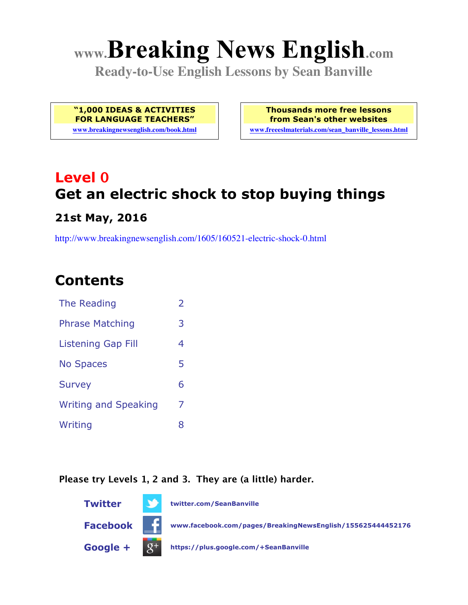# **www.Breaking News English.com**

**Ready-to-Use English Lessons by Sean Banville**

**"1,000 IDEAS & ACTIVITIES FOR LANGUAGE TEACHERS"**

**www.breakingnewsenglish.com/book.html**

**Thousands more free lessons from Sean's other websites www.freeeslmaterials.com/sean\_banville\_lessons.html**

## **Level 0 Get an electric shock to stop buying things**

#### **21st May, 2016**

http://www.breakingnewsenglish.com/1605/160521-electric-shock-0.html

### **Contents**

| The Reading                 | $\overline{2}$ |
|-----------------------------|----------------|
| <b>Phrase Matching</b>      | 3              |
| <b>Listening Gap Fill</b>   | 4              |
| <b>No Spaces</b>            | 5              |
| <b>Survey</b>               | 6              |
| <b>Writing and Speaking</b> | 7              |
| Writing                     | 8              |

#### **Please try Levels 1, 2 and 3. They are (a little) harder.**

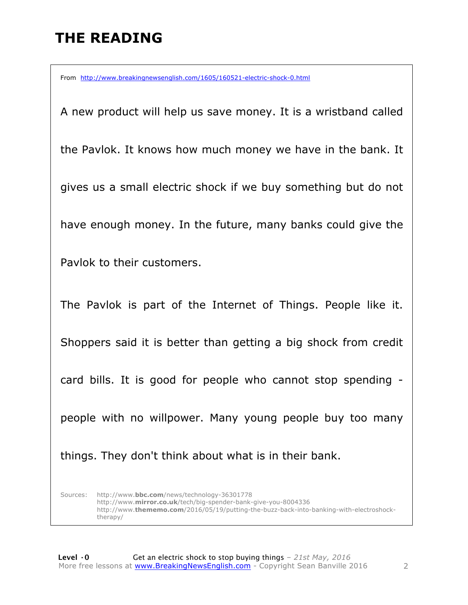### **THE READING**

From http://www.breakingnewsenglish.com/1605/160521-electric-shock-0.html

A new product will help us save money. It is a wristband called the Pavlok. It knows how much money we have in the bank. It gives us a small electric shock if we buy something but do not have enough money. In the future, many banks could give the Pavlok to their customers. The Pavlok is part of the Internet of Things. People like it. Shoppers said it is better than getting a big shock from credit card bills. It is good for people who cannot stop spending people with no willpower. Many young people buy too many things. They don't think about what is in their bank.

Sources: http://www.**bbc.com**/news/technology-36301778 http://www.**mirror.co.uk**/tech/big-spender-bank-give-you-8004336 http://www.**thememo.com**/2016/05/19/putting-the-buzz-back-into-banking-with-electroshocktherapy/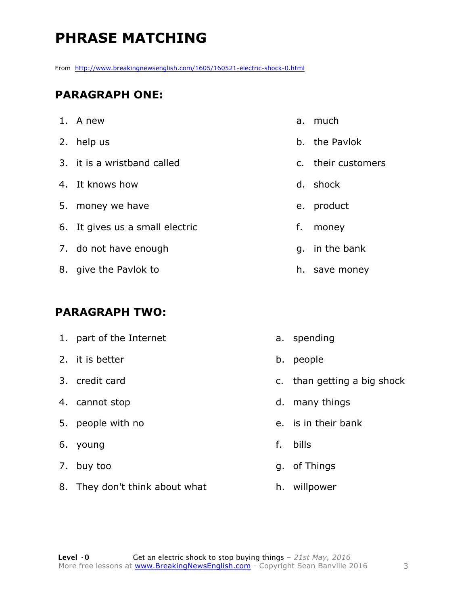### **PHRASE MATCHING**

From http://www.breakingnewsenglish.com/1605/160521-electric-shock-0.html

#### **PARAGRAPH ONE:**

| 1. A new                        |    | a. much            |
|---------------------------------|----|--------------------|
| 2. help us                      |    | b. the Paylok      |
| 3. it is a wristband called     |    | c. their customers |
| 4. It knows how                 |    | d. shock           |
| 5. money we have                |    | e. product         |
| 6. It gives us a small electric | f. | money              |
| 7. do not have enough           |    | q. in the bank     |
| 8. give the Pavlok to           | h. | save money         |

#### **PARAGRAPH TWO:**

| 1. part of the Internet |    | a. spending                 |
|-------------------------|----|-----------------------------|
| 2. it is better         | b. | people                      |
| 3. credit card          |    | c. than getting a big shock |
| 4. cannot stop          | d. | many things                 |
| 5. people with no       |    | e. is in their bank         |
| 6. young                | f. | bills                       |
| 7. buy too              | q. | of Things                   |

- 8. They don't think about what h. willpower
-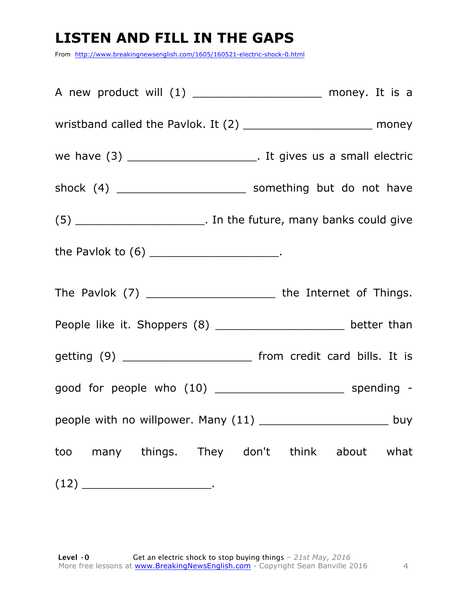### **LISTEN AND FILL IN THE GAPS**

From http://www.breakingnewsenglish.com/1605/160521-electric-shock-0.html

| A new product will (1) _______________________ money. It is a          |  |
|------------------------------------------------------------------------|--|
| wristband called the Pavlok. It (2) __________________________ money   |  |
| we have (3) __________________________. It gives us a small electric   |  |
| shock (4) ___________________________ something but do not have        |  |
| $(5)$ __________________________. In the future, many banks could give |  |
| the Pavlok to (6) ________________________.                            |  |
| The Pavlok (7) ____________________________ the Internet of Things.    |  |
| People like it. Shoppers (8) ____________________ better than          |  |
| getting (9) _________________________ from credit card bills. It is    |  |
|                                                                        |  |
| people with no willpower. Many (11) __________________________ buy     |  |
| too many things. They don't think about what                           |  |
|                                                                        |  |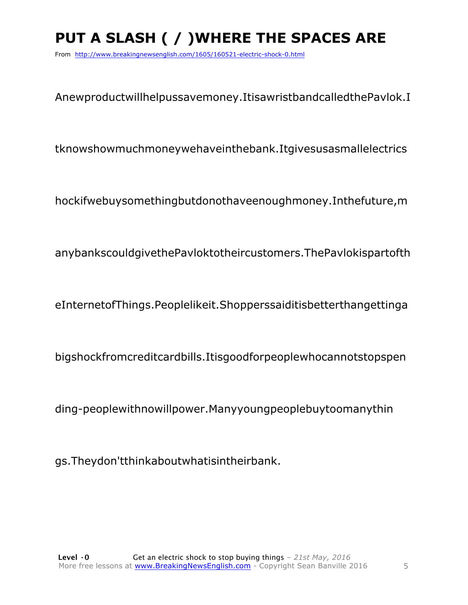### **PUT A SLASH ( / )WHERE THE SPACES ARE**

From http://www.breakingnewsenglish.com/1605/160521-electric-shock-0.html

Anewproductwillhelpussavemoney.ItisawristbandcalledthePavlok.I

tknowshowmuchmoneywehaveinthebank.Itgivesusasmallelectrics

hockifwebuysomethingbutdonothaveenoughmoney.Inthefuture,m

anybankscouldgivethePavloktotheircustomers.ThePavlokispartofth

eInternetofThings.Peoplelikeit.Shopperssaiditisbetterthangettinga

bigshockfromcreditcardbills.Itisgoodforpeoplewhocannotstopspen

ding-peoplewithnowillpower.Manyyoungpeoplebuytoomanythin

gs.Theydon'tthinkaboutwhatisintheirbank.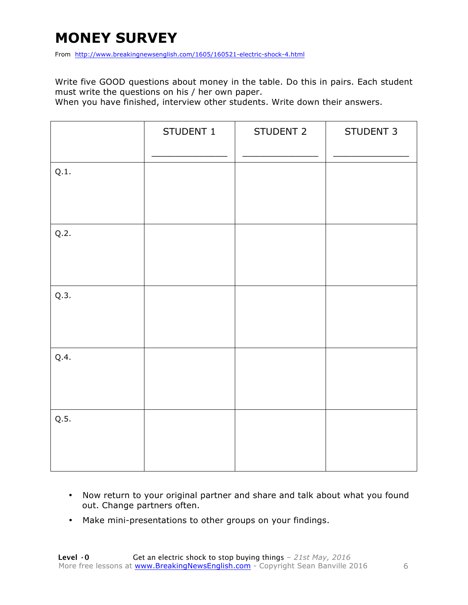### **MONEY SURVEY**

From http://www.breakingnewsenglish.com/1605/160521-electric-shock-4.html

Write five GOOD questions about money in the table. Do this in pairs. Each student must write the questions on his / her own paper.

When you have finished, interview other students. Write down their answers.

|      | STUDENT 1 | STUDENT 2 | STUDENT 3 |
|------|-----------|-----------|-----------|
| Q.1. |           |           |           |
| Q.2. |           |           |           |
| Q.3. |           |           |           |
| Q.4. |           |           |           |
| Q.5. |           |           |           |

- Now return to your original partner and share and talk about what you found out. Change partners often.
- Make mini-presentations to other groups on your findings.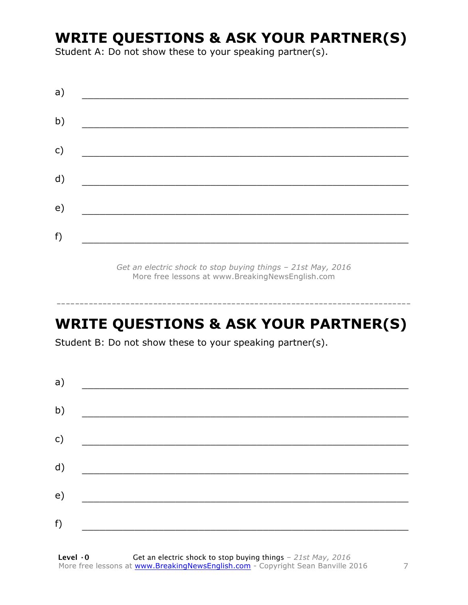### **WRITE QUESTIONS & ASK YOUR PARTNER(S)**

Student A: Do not show these to your speaking partner(s).

*Get an electric shock to stop buying things – 21st May, 2016* More free lessons at www.BreakingNewsEnglish.com

### **WRITE QUESTIONS & ASK YOUR PARTNER(S)**

-----------------------------------------------------------------------------

Student B: Do not show these to your speaking partner(s).

| a) |  |  |
|----|--|--|
| b) |  |  |
| c) |  |  |
| d) |  |  |
| e) |  |  |
| f) |  |  |
|    |  |  |